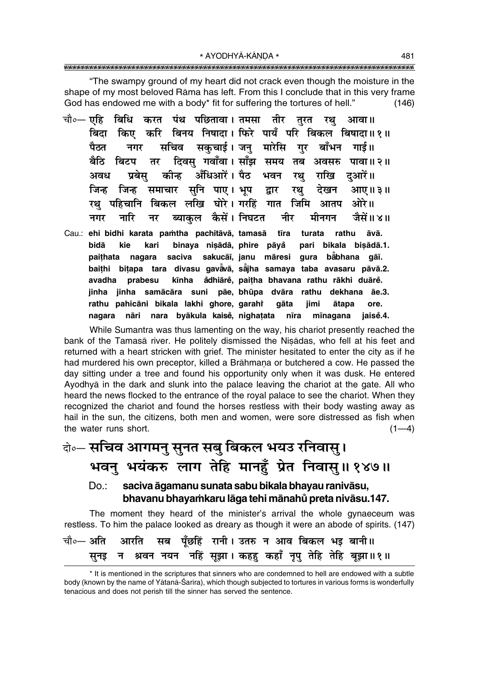"The swampy ground of my heart did not crack even though the moisture in the shape of my most beloved Rāma has left. From this I conclude that in this very frame God has endowed me with a body\* fit for suffering the tortures of hell."  $(146)$ 

- चौ०— एहि बिधि करत पंथ पछितावा।तमसा तीर तरत रथ आवा ॥ बिदा किए करि बिनय निषादा। फिरे पायँ परि बिकल बिषादा॥१॥ सचिव सकचाई।जन मारेसि गर बाँभन गाई॥ ਧੈਨਰ नगर बैठि दिवस गवाँवा। साँझ समय तब अवसरु पावा॥२॥ बिटप तर अँधिआरें । पैठ प्रबेस कीन्ह अवध भवन रथ राखि दआरें।। जिन्ह जिन्ह समाचार सनि पाए। भूप देखन द्वार रथ आए।। ३॥ रथ पहिचानि बिकल लखि घोरे। गरहिं गात जिमि आतप ओरे॥ ब्याकल कैसें। निघटत नीर मीनगन जैसें॥४॥ नगर नारि नर
- Cau.: ehi bidhi karata pamtha pachitāvā, tamasā tīra turata rathu āvā. bidā binaya nisādā, phire pāyå kie pari bikala bisādā.1. kari saciva sakucāī, janu māresi gura bābhana gāī. paithata nagara baithi bitapa tara divasu gavavā, sājha samaya taba avasaru pāvā.2. kīnha ådhiārě, paitha bhavana rathu rākhi duārě. avadha prabesu jinha jinha samācāra suni pāe, bhūpa dvāra rathu dekhana āe.3. rathu pahicāni bikala lakhi ghore, garahî aāta iimi ātapa ore. nagara nāri nara byākula kaisē, nighatata nīra mīnagana jaisė.4.

While Sumantra was thus lamenting on the way, his chariot presently reached the bank of the Tamasā river. He politely dismissed the Nisādas, who fell at his feet and returned with a heart stricken with grief. The minister hesitated to enter the city as if he had murdered his own preceptor, killed a Brāhmaṇa or butchered a cow. He passed the day sitting under a tree and found his opportunity only when it was dusk. He entered Ayodhyā in the dark and slunk into the palace leaving the chariot at the gate. All who heard the news flocked to the entrance of the royal palace to see the chariot. When they recognized the chariot and found the horses restless with their body wasting away as hail in the sun, the citizens, both men and women, were sore distressed as fish when the water runs short.  $(1-4)$ 

### केन्- सचिव आगमनु सुनत सबु बिकल भयउ रनिवासु। भवनु भयंकरु लाग तेहि मानहुँ प्रेत निवासु॥१४७॥ saciva āgamanu sunata sabu bikala bhayau ranivāsu,  $Do:$

### bhavanu bhayamkaru lāga tehi mānahů preta nivāsu.147.

The moment they heard of the minister's arrival the whole gynaeceum was restless. To him the palace looked as dreary as though it were an abode of spirits. (147)

|  |  | चौ∘— अति आरति सब पूँछहिं रानी। उतरु न आव बिकल भइ बानी॥       |  |  |
|--|--|--------------------------------------------------------------|--|--|
|  |  | सुनइ न श्रवन नयन नहिं सूझा। कहहु कहाँ नृपु तेहि तेहि बूझा॥१॥ |  |  |

<sup>\*</sup> It is mentioned in the scriptures that sinners who are condemned to hell are endowed with a subtle body (known by the name of Yātanā-Śarīra), which though subjected to tortures in various forms is wonderfully tenacious and does not perish till the sinner has served the sentence.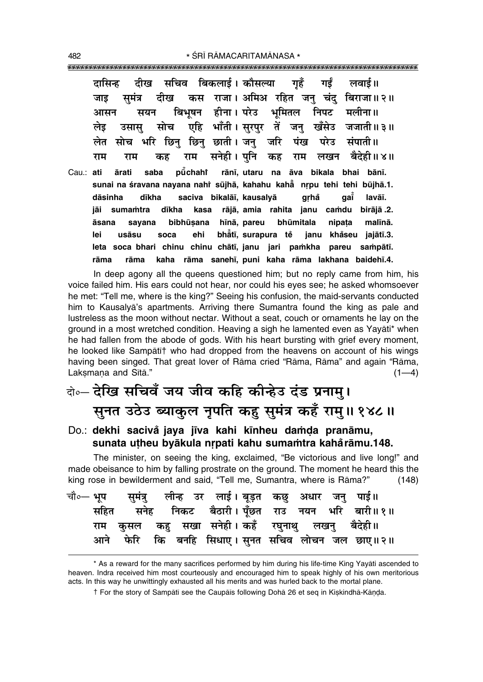दीख सचिव बिकलाई। कौसल्या गहँ गर्ड लवाई ॥ दासिन्ह राजा। अमिअ रहित जन् चंदु बिराजा॥२॥ समंत्र दीख कस जाड हीना । परेउ बिभषन भमितल निपट मलीना॥ आसन सयन एहि भाँती । सरपर तें खँसेउ जजाती ॥ ३ ॥ सोच जन लेड उसास लेत छाती । जन् जरि भरि छिन छिन पंख परेउ संपाती ॥ सोच सनेही । पनि राम बैदेही॥४॥ राम कह लखन राम कह राम Cau.: ati ārati saba pūchaht rānī, utaru na āva bikala bhai bānī. sunai na śravana nayana nahi sūjhā, kahahu kaha nrpu tehi tehi būjhā.1. saciva bikalāī, kausalyā qai lavāī. dāsinha dīkha grhå sumamtra dīkha kasa rājā, amia rahita janu camdu birājā .2. iāi bibhūsana hīnā, pareu bhūmitala nipata malīnā. āsana sayana bhåtī, surapura tě soca ehi janu khåseu jajātī.3. lei usāsu leta soca bhari chinu chinu chātī, janu jari pamkha pareu sampātī. kaha rāma sanehī, puni kaha rāma lakhana baidehī.4. rāma rāma

In deep agony all the queens questioned him; but no reply came from him, his voice failed him. His ears could not hear, nor could his eyes see; he asked whomsoever he met: "Tell me, where is the king?" Seeing his confusion, the maid-servants conducted him to Kausalya's apartments. Arriving there Sumantra found the king as pale and lustreless as the moon without nectar. Without a seat, couch or ornaments he lay on the ground in a most wretched condition. Heaving a sigh he lamented even as Yayati\* when he had fallen from the abode of gods. With his heart bursting with grief every moment, he looked like Sampatit who had dropped from the heavens on account of his wings having been singed. That great lover of Rama cried "Rama, Rama" and again "Rama, Laksmana and Sītā."  $(1-4)$ 

# बे॰ देखि सचिवँ जय जीव कहि कीन्हेउ दंड प्रनाम्। सूनत उठेउ ब्याकुल नृपति कहु सुमंत्र कहँ रामु॥ १४८॥

#### Do.: dekhi sacivă jaya jīva kahi kīnheu damda pranāmu, sunata utheu byākula nrpati kahu sumamtra kahărāmu.148.

The minister, on seeing the king, exclaimed, "Be victorious and live long!" and made obeisance to him by falling prostrate on the ground. The moment he heard this the king rose in bewilderment and said, "Tell me, Sumantra, where is Rāma?"  $(148)$ 

|  | चौ०— भूप     सुमंत्रु    लीन्ह   उर   लाई । बूड़त  कछु   अधार   जनु   पाई॥ |  |  |  |                                                  |
|--|----------------------------------------------------------------------------|--|--|--|--------------------------------------------------|
|  |                                                                            |  |  |  | सहित सनेह निकट बैठारी। पूँछत राउ नयन भरि बारी॥१॥ |
|  | राम कुसल कहु सखा सनेही।कहँ रघुनाथु लखनु बैदेही॥                            |  |  |  |                                                  |
|  |                                                                            |  |  |  | आने फेरि कि बनहि सिधाए।सुनत सचिव लोचन जल छाए॥२॥  |

<sup>\*</sup> As a reward for the many sacrifices performed by him during his life-time King Yayati ascended to heaven. Indra received him most courteously and encouraged him to speak highly of his own meritorious acts. In this way he unwittingly exhausted all his merits and was hurled back to the mortal plane.

<sup>†</sup> For the story of Sampātī see the Caupāīs following Dohā 26 et seg in Kiskindhā-Kānda.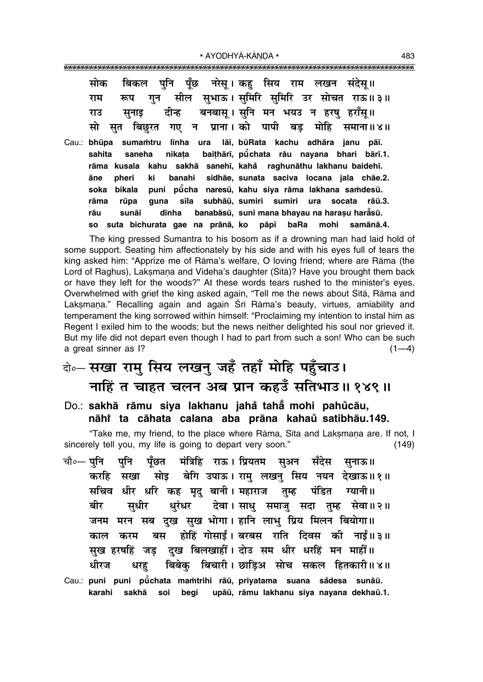| सोक बिकल पुनि पूँछ नरेसू।।कहु सिय राम लखन संदेसू॥    |  |  |                                                              |
|------------------------------------------------------|--|--|--------------------------------------------------------------|
|                                                      |  |  | राम  रूप गुन  सील  सुभाऊ । सुमिरि  सुमिरि  उर  सोचत  राऊ॥ ३॥ |
| राउ सुनाइ दीन्ह बनबासू । सुनि मन भयउ न हरषु हराँस् ॥ |  |  |                                                              |
|                                                      |  |  | सो सुत बिछुरत गए न प्राना।को पापी बड़ मोहि समाना॥४॥          |

Cau.: **bhµupa suma≈tru l∂nha ura lå∂, bµuRata kachu adhåra janu på∂.** sahita saneha nikaṭa baiṭhārī, pū̃chata rāu nayana bhari bārī.1. **råma kusala kahu sakhå saneh∂, kaha° raghunåthu lakhanu baideh∂. åne pheri ki banahi sidhåe, sunata saciva locana jala chåe.2. soka bikala puni pµu° cha naresµu, kahu siya råma lakhana sa≈desµu.** rāma rūpa guna sīla subhāū, sumiri sumiri ura socata rāū.3. rāu sunāi dīnha banabāsū, suni mana bhayau na haraṣu harẳsū. **so suta bichurata gae na prånå, ko påp∂ baRa mohi samånå.4.**

The king pressed Sumantra to his bosom as if a drowning man had laid hold of some support. Seating him affectionately by his side and with his eyes full of tears the king asked him: "Apprize me of Rāma's welfare, O loving friend; where are Rāma (the Lord of Raghus), Laksmana and Videha's daughter (Sītā)? Have you brought them back or have they left for the woods?î At these words tears rushed to the ministerís eyes. Overwhelmed with grief the king asked again, "Tell me the news about Sītā, Rāma and Laksmana." Recalling again and again Śrī Rāma's beauty, virtues, amiability and temperament the king sorrowed within himself: "Proclaiming my intention to instal him as Regent I exiled him to the woods; but the news neither delighted his soul nor grieved it. But my life did not depart even though I had to part from such a son! Who can be such a great sinner as  $1$ ?  $(1-4)$ 

### दो**०– सखा राम् सिय लखन् जहँ तहाँ मोहि पहँचाउ।** <u>नाहिं त चाहत चलन अब प्रान कहउँ सतिभाउ॥ १४९॥</u>

Do.: **sakhå råmu siya lakhanu jaha tahå ° ° mohi pahu° cåu, nåhiÚ ta cåhata calana aba pråna kahau satibhåu.149. °**

ìTake me, my friend, to the place where Råma, S∂ta and Lak¶maƒa are. If not, I sincerely tell you, my life is going to depart very soon." (149)

- चौ०— पनि पनि पँछत मंत्रिहि राऊ । प्रियतम सअन सँदेस सनाऊ॥ **करहि सखा सोइ बेगि उपाऊ। राम् लखन् सिय नयन देखाऊ॥१॥** सचिव धीर धरि कह मृद् बानी। महाराज तुम्ह पंडित ग्यानी॥ बीर सधीर धुरंधर देवा।साधु**समाजुसदा तुम्ह सेवा॥२**॥ जनम मरन सब दख सुख भोगा। हानि लाभु प्रिय मिलन बियोगा॥ ∑<br>काल करम बस होहिं गोसाईं। बरबस राति दिवस की नाईं॥३॥ सुख हरषहिं जड दख बिलखाहीं । दोउ सम धीर धरहिं मन माहीं ।। धीरज धरह बिबेक् बिचारी।**छाडिअ सोच सकल हितकारी॥४॥**
- Cau.: **puni puni pū̃chata maṁtrihi rāū, priyatama suana sådesa sunāū.** karahi sakhā soi begi upāū, rāmu lakhanu siya nayana dekhaū.1.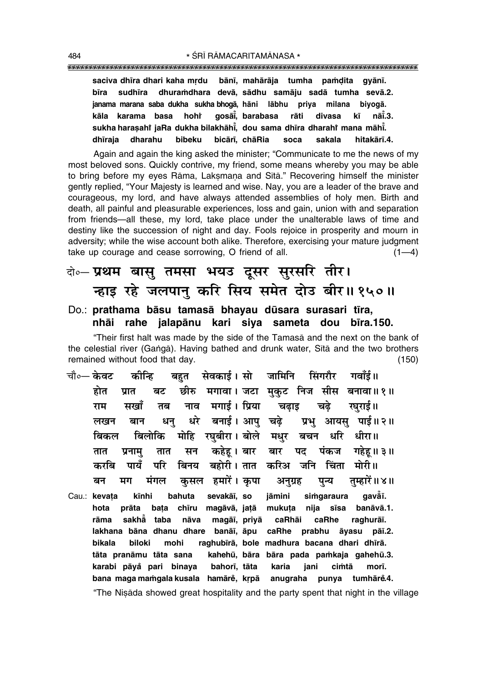#### 

bānī, mahārāja tumha pamdita gyānī. saciva dhīra dhari kaha mrdu dhuramdhara devā, sādhu samāju sadā tumha sevā.2. bīra sudhīra janama marana saba dukha sukha bhogā, hāni lābhu priva milana bivogā. kāla karama basa hohř gosāi, barabasa rāti divasa kī nāĭ.3. sukha harasahi jaRa dukha bilakhāhī. dou sama dhīra dharahi mana māhī. dharahu bibeku dhīraia bicārī, chāRia soca sakala hitakārī.4.

Again and again the king asked the minister; "Communicate to me the news of my most beloved sons. Quickly contrive, my friend, some means whereby you may be able to bring before my eyes Rāma, Laksmana and Sītā." Recovering himself the minister gently replied, "Your Majesty is learned and wise. Nay, you are a leader of the brave and courageous, my lord, and have always attended assemblies of holy men. Birth and death, all painful and pleasurable experiences, loss and gain, union with and separation from friends-all these, my lord, take place under the unalterable laws of time and destiny like the succession of night and day. Fools rejoice in prosperity and mourn in adversity; while the wise account both alike. Therefore, exercising your mature judgment take up courage and cease sorrowing. O friend of all.  $(1-4)$ 

### वे∘– प्रथम बासु तमसा भयउ दूसर सुरसरि तीर। न्हाइ रहे जलपानु करि सिय समेत दोउ बीर॥१५०॥

#### Do.: prathama bāsu tamasā bhayau dūsara surasari tīra, nhāi rahe jalapānu kari siya sameta dou bīra.150.

"Their first halt was made by the side of the Tamasa and the next on the bank of the celestial river (Ganga). Having bathed and drunk water. Sita and the two brothers remained without food that day.  $(150)$ 

- बहत सेवकार्ड।सो जामिनि चौ०— **केवट** सिंगरौर गवाँई॥ कोन्हि छीरु मगावा। जटा मुकुट निज सीस बनावा॥१॥ होत बट प्रात नाव मगाई। प्रिया राम सखाँ तब चढाड चढे रघराई॥ धरे बनाई। आप चढे धनु प्रभु आयसु पाई॥२॥ लखन बान मोहि रघुबीरा। बोले मधुर बिलोकि बचन धरि धीरा॥ बिकल कहेहू । बार बार पंकज गहेह ॥ ३ ॥ प्रनाम सन पद तात तात पायँ परि बहोरी । तात करिअ जनि चिंता मोरी॥ बिनय करवि मंगल मग कसल हमारें। कृपा तम्हारें॥४॥ बन अनुग्रह पुन्य
- bahuta sevakāī, so iāmini simgaraura aavåī. Cau.: kevata kīnhi prāta bata chīru magāvā, jatā mukuța nija sīsa banāvā.1. hota rāma sakhå taba nāva magāī, priyā caRhāi caRhe raghurāī. lakhana bāna dhanu dhare banāī, āpu caRhe prabhu āyasu pāī.2. biloki mohi raghubīrā, bole madhura bacana dhari dhīrā. bikala tāta pranāmu tāta sana kahehū, bāra bāra pada pamkaja gahehū.3. karabi pāyå pari binaya bahorī, tāta karia iani cimtā morī. bana maga mamgala kusala hamārě, krpā anugraha punya tumhārĕ.4. "The Nisada showed great hospitality and the party spent that night in the village

484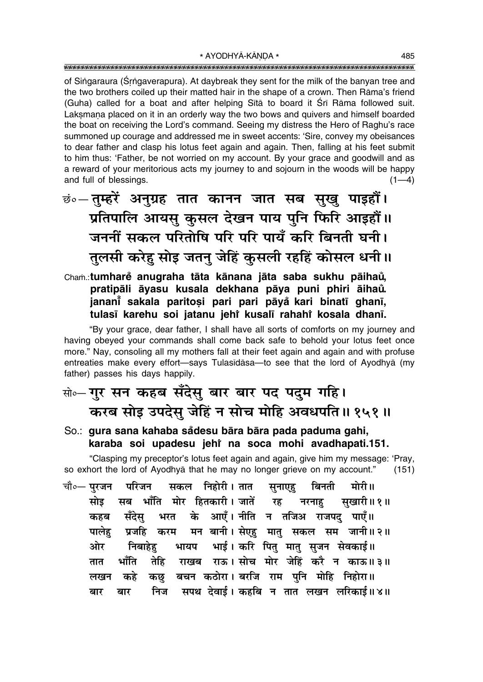of Singaraura (Srngaverapura). At daybreak they sent for the milk of the banyan tree and the two brothers coiled up their matted hair in the shape of a crown. Then Rāma's friend (Guha) called for a boat and after helping Sita to board it Sri Rama followed suit. Laksmana placed on it in an orderly way the two bows and quivers and himself boarded the boat on receiving the Lord's command. Seeing my distress the Hero of Raghu's race summoned up courage and addressed me in sweet accents: 'Sire, convey my obeisances to dear father and clasp his lotus feet again and again. Then, falling at his feet submit to him thus: 'Father, be not worried on my account. By your grace and goodwill and as a reward of your meritorious acts my journey to and sojourn in the woods will be happy and full of blessings.  $(1-4)$ 

<u>छं०— तुम्हरें अनुग्रह तात कानन जात सब सुखु पाइहौं।</u> प्रतिपालि आयसु कुसल देखन पाय पुनि फिरि आइहौं।। जननीं सकल परितोषि परि परि पायँ करि बिनती घनी। तुलसी करेह सोड़ जतन् जेहिं कुसली रहहिं कोसल धनी।।

Cham.:tumhare anugraha tāta kānana jāta saba sukhu pāihau, pratipāli āyasu kusala dekhana pāya puni phiri āihaů. janani sakala paritosi pari pari pāyå kari binatī ghanī, tulasī karehu soi jatanu jehr kusalī rahahr kosala dhanī.

"By your grace, dear father, I shall have all sorts of comforts on my journey and having obeyed your commands shall come back safe to behold your lotus feet once more." Nay, consoling all my mothers fall at their feet again and again and with profuse entreaties make every effort-says Tulasīdāsa-to see that the lord of Ayodhyā (my father) passes his days happily.

# सो०- गुर सन कहब सँदेसु बार बार पद पदुम गहि। करब सोइ उपदेस् जेहिं न सोच मोहि अवधपति॥१५१॥

### So.: gura sana kahaba sådesu bāra bāra pada paduma gahi, karaba soi upadesu jehi na soca mohi avadhapati.151.

"Clasping my preceptor's lotus feet again and again, give him my message: 'Pray, so exhort the lord of Ayodhya that he may no longer grieve on my account."  $(151)$ 

चौ०- परजन सकल निहोरी। तात बिनती परिजन मोरी॥ सनाएह सब भाँति मोर हितकारी। जातें रह सोड सखारी॥१॥ नरनाह भरत के आएँ। नीति न तजिअ राजपद पाएँ॥ सँदेस् कहब प्रजहि करम मन बानी।सेएहु मातु सकल सम जानी॥२॥ पालेह भायप भाई। करि पित मात सजन सेवकाई॥ ओर निबाहेह राखब राऊ। सोच मोर जेहिं करै न काऊ॥३॥ भाँति तेहि तात बचन कठोरा। बरजि राम पुनि मोहि निहोरा॥ कछ कहे लखन निज सपथ देवाई । कहबि न तात लखन लरिकाई ॥ ४ ॥ बार बार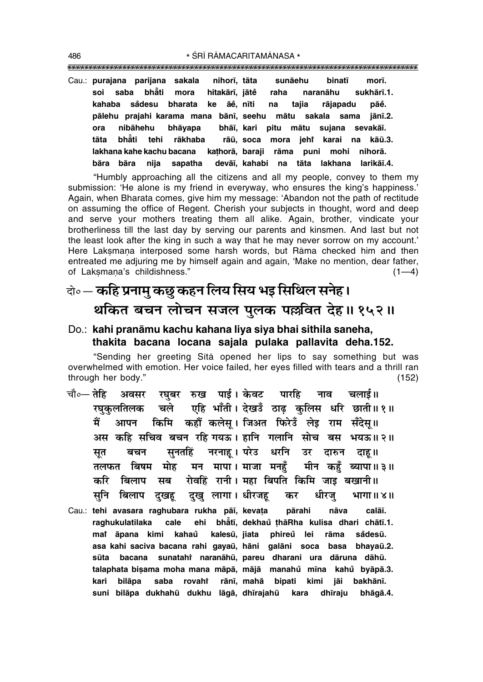""""""""""""""""""""""""""""""""""""""""""""""""""""""""""""""""""""""""""""""""""" 486 \* SRĪ RĀMACARITAMĀNASA \*

Cau.: **purajana parijana sakala nihor∂, tåta sunåehu binat∂ mor∂. soi saba bhå° ti mora hitakår∂, jåte raha naranåhu sukhår∂.1. ° kahaba sa° desu bharata ke åe°, n∂ti na tajia råjapadu påe°. pålehu prajahi karama mana bån∂, seehu måtu sakala sama jån∂.2. ora nibåhehu bhåyapa bhå∂, kari pitu måtu sujana sevakå∂. tåta bhå°** ti tehi rākhaba rāū, soca mora jeh† karai na kāū.<mark>3</mark>. **lakhana kahe kachu bacana ka¢horå, baraji råma puni mohi nihorå. båra båra nija sapatha devå∂, kahabi na tåta lakhana larikå∂.4.**

ìHumbly approaching all the citizens and all my people, convey to them my submission: 'He alone is my friend in everyway, who ensures the king's happiness.' Again, when Bharata comes, give him my message: 'Abandon not the path of rectitude on assuming the office of Regent. Cherish your subjects in thought, word and deep and serve your mothers treating them all alike. Again, brother, vindicate your brotherliness till the last day by serving our parents and kinsmen. And last but not the least look after the king in such a way that he may never sorrow on my account.' Here Laksmana interposed some harsh words, but Rāma checked him and then entreated me adjuring me by himself again and again, 'Make no mention, dear father, of Laksmana's childishness."  $(1-4)$ 

### दो**०— कहि प्रनामु कछु कहन लिय सिय भइ सिथिल सनेह।** <u>थकित बचन लोचन सजल पुलक पल्लवित देह॥१५२॥</u>

### Do.: **kahi pranåmu kachu kahana liya siya bhai sithila saneha, thakita bacana locana sajala pulaka pallavita deha.152.**

ìSending her greeting S∂tå opened her lips to say something but was overwhelmed with emotion. Her voice failed, her eyes filled with tears and a thrill ran through her body." (152)

- चौ०— तेहि अवसर रघुबर रुख पाई । केवट पारहि नाव चलाई॥  $\tau$ घकलतिलक चले एहि भाँती।देखउँ ठाढ़ कुलिस धरि छाती॥१॥ <u>मैं आपन किमि कहौं कलेसू। जिअत फिरेउँ लेइ राम सँदेसू॥</u> अस कहि सचिव बचन रहि**गयऊ। हानि गलानि सोच बस भयऊ॥२**॥ <u>सृ</u>त बचन सुनतहिं नरनाहृ । परेउ धरनि उर दारुन दाह॥ हलफत बिषम मोह मन मापा।**माजा मनहँ मीन कहँ ब्यापा॥३॥ करि बिलाप सब रोवहिं रानी। महा बिपति कि**मि जाइ बखानी॥ सनि बिलाप दखह दख लागा।**धीरजह कर धीरज भागा॥४**॥
- Cau.: **tehi avasara raghubara rukha på∂, keva¢a pårahi nåva calå∂. raghukulatilaka** cale **t∂, dekhau ¢håRha kulisa dhari chåt∂.1. ° maiÚ åpana kimi kahau° kalesµu, jiata phireu lei råma sa ° °desµu. asa kahi saciva bacana rahi gayaµu, håni galåni soca basa bhayaµu.2. sµuta bacana sunatahiÚ naranåhµu, pareu dharani ura dåruna dåhµu. talaphata bi¶ama moha mana måpå, måjå manahu m∂na kahu ° byåpå.3. ° kari bilåpa saba rovahiÚ rån∂, mahå bipati kimi jåi bakhån∂. suni bilåpa dukhahµu dukhu lågå, dh∂rajahµu kara dh∂raju bhågå.4.**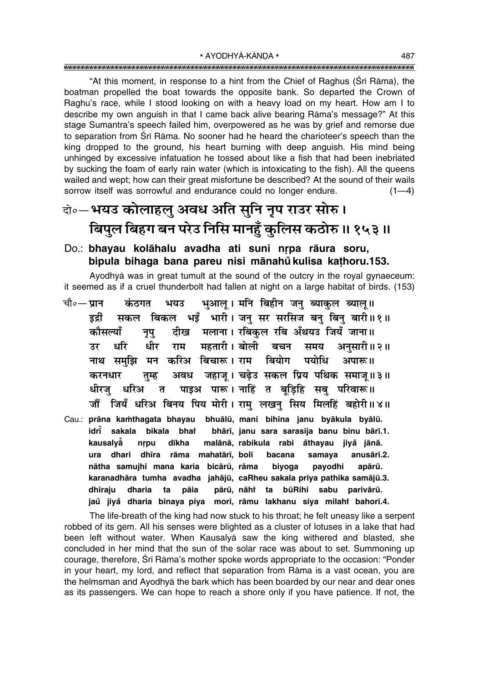"At this moment, in response to a hint from the Chief of Raghus (Srī Rāma), the boatman propelled the boat towards the opposite bank. So departed the Crown of Raghu's race, while I stood looking on with a heavy load on my heart. How am I to describe my own anguish in that I came back alive bearing Rāma's message?" At this stage Sumantra's speech failed him, overpowered as he was by grief and remorse due to separation from Srī Rāma. No sooner had he heard the charioteer's speech than the king dropped to the ground, his heart burning with deep anguish. His mind being unhinged by excessive infatuation he tossed about like a fish that had been inebriated by sucking the foam of early rain water (which is intoxicating to the fish). All the queens wailed and wept; how can their great misfortune be described? At the sound of their wails sorrow itself was sorrowful and endurance could no longer endure.  $(1-4)$ 

### वो॰-भयउ कोलाहलु अवध अति सुनि नृप राउर सोरु। बिपुल बिहग बन परेउ निसि मानहुँ कुलिस कठोरु ॥ १५३ ॥

#### Do.: bhayau kolāhalu avadha ati suni nrpa rāura soru, bipula bihaga bana pareu nisi mānahů kulisa kathoru.153.

Avodhyā was in great tumult at the sound of the outcry in the royal gynaeceum: it seemed as if a cruel thunderbolt had fallen at night on a large habitat of birds. (153)

- भुआल् । मनि बिहीन जनु ब्याकुल ब्यालु ॥ चौ०— **पान** कंठगत भयउ सकल बिकल भइँँ भारी। जनु सर सरसिज बनु बिनु बारी॥१॥ डर्द्री दीख मलाना। रबिकुल रबि अँथयउ जियँ जाना॥ कौसल्याँ नृपु धरि धीर राम महतारी । बोली बचन समय अनुसारी॥२॥ उर नाथ समुझि मन करिअ बिचारू। राम बियोग पयोधि अपारू॥ अवध जहाज् । चढेउ सकल प्रिय पथिक समाज॥३॥ करनधार तम्ह पाइअ पारू। नाहिं त बडिहि सब परिवारू॥ धीरज धरिअ  $\overline{b}$ जौं जियँ धरिअ बिनय पिय मोरी। रामु लखनु सिय मिलहिं बहोरी॥४॥
- Cau.: prāna kamthagata bhayau bhuālū, mani bihīna janu byākula byālū. bhārī, janu sara sarasija banu binu bārī.1. idri sakala bikala bhat kausalvå malānā, rabikula rabi åthayau jiyå jānā. nrpu dīkha ura dhari dhīra rāma mahatārī, bolī bacana samaya anusārī.2. nātha samujhi mana karia bicārū, rāma biyoga payodhi apārū. karanadhāra tumha avadha jahājū, caRheu sakala priya pathika samājū.3. dhīraju dharia pārū, nāhi ta būRihi sabu parivārū. ta pāia jaů jiyå dharia binaya piya morī, rāmu lakhanu siya milahi bahorī.4.

The life-breath of the king had now stuck to his throat; he felt uneasy like a serpent robbed of its gem. All his senses were blighted as a cluster of lotuses in a lake that had been left without water. When Kausalya saw the king withered and blasted, she concluded in her mind that the sun of the solar race was about to set. Summoning up courage, therefore, Srī Rāma's mother spoke words appropriate to the occasion: "Ponder in your heart, my lord, and reflect that separation from Rama is a vast ocean, you are the helmsman and Ayodhya the bark which has been boarded by our near and dear ones as its passengers. We can hope to reach a shore only if you have patience. If not, the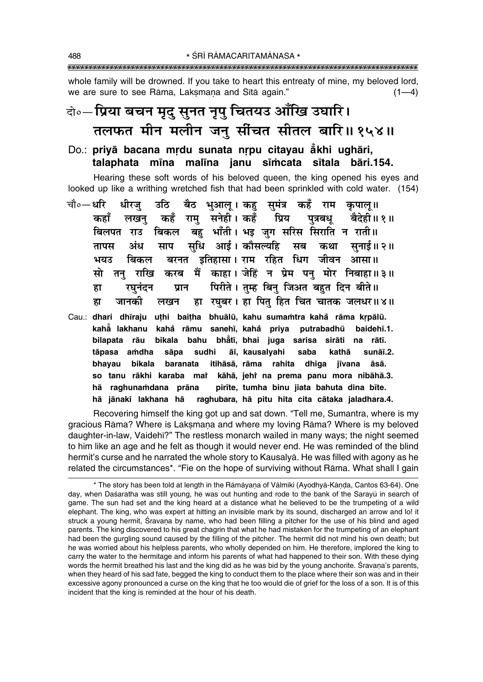whole family will be drowned. If you take to heart this entreaty of mine, my beloved lord, we are sure to see Rāma, Laksmana and Sītā again."  $(1-4)$ 

### दो∘—प्रिया बचन मृदु सुनत नृपु चितयउ आँखि उघारि। तलफत मीन मलीन जन् सींचत सीतल बारि॥१५४॥

#### Do.: privā bacana mrdu sunata nrpu citavau ākhi ughāri. talaphata mīna malīna janu sīmcata sītala bāri.154.

Hearing these soft words of his beloved queen, the king opened his eyes and looked up like a writhing wretched fish that had been sprinkled with cold water. (154)

- चौ०—धरि उठि बैठ भुआलू। कहु सुमंत्र कहँ राम कृपालू॥ धीरज राम् सनेही।कहँ प्रिय पुत्रबधू बैदेही॥१॥ कहाँ कहँ लखन बिलपत राउ बिकल बह भाँती। भड़ जग सरिस सिराति न राती॥ सुधि आई। कौसल्यहि सब कथा सुनाई॥२॥ तापस अंध साप बरनत इतिहासा। राम रहित धिग जीवन आसा॥ भयन बिकल सो तनु राखि करब मैं काहा।जेहिं न प्रेम पनु मोर निबाहा॥३॥ पिरीते। तुम्ह बिन् जिअत बहुत दिन बीते॥ रघनंदन प्रान हा जानकी हा रघबर। हा पित हित चित चातक जलधर॥४॥ ह्रा लखन
- Cau.: dhari dhīraju uthi baitha bhuālū, kahu sumamtra kahå rāma krpālū. kahå lakhanu kahå rāmu sanehī, kahå priya putrabadhū baidehī.1. bilapata rāu bikala bahu bhātī, bhai juga sarisa sirāti na rātī. tāpasa amdha sāpa sudhi āī, kausalyahi saba kathā sunāī.2. itihāsā, rāma rahita bhayau bikala baranata dhiqa jīvana āsā. so tanu rākhi karaba mai kāhā, jehi na prema panu mora nibāhā.3. hā raghunamdana prāna pirīte, tumha binu jiata bahuta dina bīte. raghubara, hā pitu hita cita cātaka jaladhara.4. hā jānakī lakhana hā

Recovering himself the king got up and sat down. "Tell me, Sumantra, where is my gracious Rāma? Where is Laksmana and where my loving Rāma? Where is my beloved daughter-in-law, Vaidehī?" The restless monarch wailed in many ways; the night seemed to him like an age and he felt as though it would never end. He was reminded of the blind hermit's curse and he narrated the whole story to Kausalya. He was filled with agony as he related the circumstances\*. "Fie on the hope of surviving without Rama. What shall I gain

<sup>\*</sup> The story has been told at length in the Rāmāyana of Vālmīki (Ayodhyā-Kānda, Cantos 63-64). One day, when Daśaratha was still young, he was out hunting and rode to the bank of the Sarayū in search of game. The sun had set and the king heard at a distance what he believed to be the trumpeting of a wild elephant. The king, who was expert at hitting an invisible mark by its sound, discharged an arrow and lo! it struck a young hermit, Sravana by name, who had been filling a pitcher for the use of his blind and aged parents. The king discovered to his great chagrin that what he had mistaken for the trumpeting of an elephant had been the gurgling sound caused by the filling of the pitcher. The hermit did not mind his own death; but he was worried about his helpless parents, who wholly depended on him. He therefore, implored the king to carry the water to the hermitage and inform his parents of what had happened to their son. With these dying words the hermit breathed his last and the king did as he was bid by the young anchorite. Sravana's parents, when they heard of his sad fate, begged the king to conduct them to the place where their son was and in their excessive agony pronounced a curse on the king that he too would die of grief for the loss of a son. It is of this incident that the king is reminded at the hour of his death.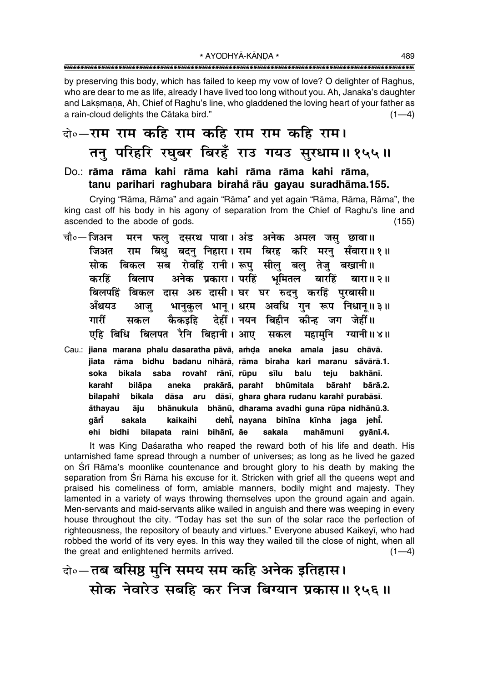by preserving this body, which has failed to keep my vow of love? O delighter of Raghus, who are dear to me as life, already I have lived too long without you. Ah, Janaka's daughter and Laksmana, Ah, Chief of Raghu's line, who gladdened the loving heart of your father as a rain-cloud delights the Cātaka bird."  $(1-4)$ 

### वे∘—राम राम कहि राम कहि राम राम कहि राम। तन् परिहरि रघुबर बिरहँ राउ गयउ सुरधाम॥१५५॥

#### Do.: rāma rāma kahi rāma kahi rāma rāma kahi rāma. tanu parihari raghubara birahă rāu gayau suradhāma.155.

Crying "Rāma, Rāma" and again "Rāma" and yet again "Rāma, Rāma, Rāma", the king cast off his body in his agony of separation from the Chief of Raghu's line and ascended to the abode of gods.  $(155)$ 

- चौ०— जिअन मरन फल दसरथ पावा। अंड अनेक अमल जस छावा॥ राम बिधु बदन् निहारा। राम बिरह करि मरनु सँवारा॥१॥ जिअत ्बिकल सब रोवहिं रानी। रूपु सीलु बलु तेजु बखानी।। मोक अनेक प्रकारा। परहिं भूमितल करहिं बिलाप बारहिं बारा॥ २॥ बिलपहिं बिकल दास अरु दासी। घर घर रुदनु करहिं पुरबासी॥ भानुकुल भानू । धरम अवधि गुन रूप निधान् ॥ ३ ॥ अँथयउ आज गारीं देहीं । नयन बिहीन कीन्ह जग जेहीं ॥ कैकड़हि सकल एहि बिधि बिलपत रैनि बिहानी। आए सकल महामनि ग्यानी॥४॥
- Cau.: jiana marana phalu dasaratha pāvā, amda aneka amala jasu chāvā. jiata rāma bidhu badanu nihārā, rāma biraha kari maranu såvārā.1. soka bikala saba rovahi rānī. rūpu sīlu balu teiu bakhānī. bhūmitala bilāpa prakārā, parahî karaht aneka bārahr bārā.2. bilapahi bikala dāsa aru dāsī, ghara ghara rudanu karahi purabāsī. bhānukula bhānū, dharama avadhi guna rūpa nidhānū.3. åthayau āiu gārī dehi, nayana sakala kaikaihi bihīna kīnha jaga jehī. ehi bidhi bilapata raini bihānī, āe sakala mahāmuni qvānī.4.

It was King Daśaratha who reaped the reward both of his life and death. His untarnished fame spread through a number of universes; as long as he lived he gazed on Śrī Rāma's moonlike countenance and brought glory to his death by making the separation from Srī Rāma his excuse for it. Stricken with grief all the queens wept and praised his comeliness of form, amiable manners, bodily might and majesty. They lamented in a variety of ways throwing themselves upon the ground again and again. Men-servants and maid-servants alike wailed in anguish and there was weeping in every house throughout the city. "Today has set the sun of the solar race the perfection of righteousness, the repository of beauty and virtues." Everyone abused Kaikeyi, who had robbed the world of its very eyes. In this way they wailed till the close of night, when all the great and enlightened hermits arrived.  $(1-4)$ 

वो॰— तब बसिष्ठ मुनि समय सम कहि अनेक इतिहास। सोक नेवारेड सबहि कर निज बिग्यान प्रकास॥१५६॥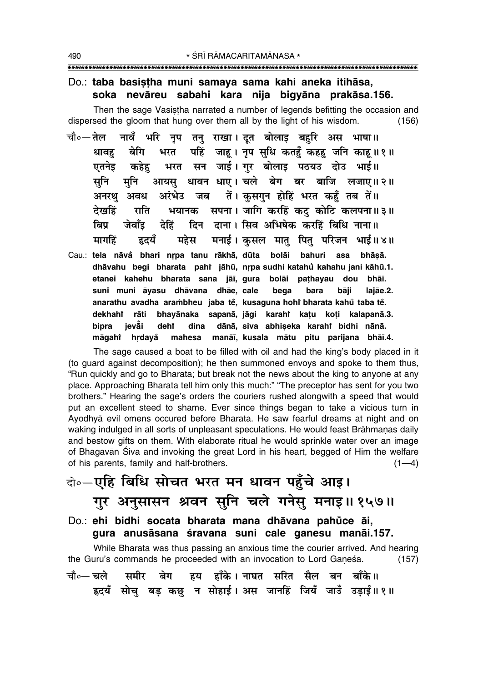#### Do.: taba basistha muni samaya sama kahi aneka itihāsa, soka nevāreu sabahi kara nija bigyāna prakāsa.156.

Then the sage Vasistha narrated a number of legends befitting the occasion and dispersed the gloom that hung over them all by the light of his wisdom.  $(156)$ 

- चौ०— तेल नावँ भरि नप तन राखा। दत बोलाइ बहरि अस भाषा॥ पहिं जाह। नृप सुधि कतहँ कहह जनि काह।।१॥ धावह बेगि भरत भरत सन जाई। गुर बोलाइ पठयउ दोउ भाई॥ कहेह एतनेड आयस् धावन धाए। चले बेग बर बाजि लजाए॥२॥ सनि मनि अरंभेउ जब तें। कसगुन होहिं भरत कहँ तब तें॥ अनरथ अवध भयानक सपना। जागि करहिं कट् कोटि कलपना॥३॥ देखहिं राति दिन दाना। सिव अभिषेक करहिं बिधि नाना॥ ਕਿਧ जेवॉद देहिं मनाई। कुसल मातु पितु परिजन भाई॥४॥ हृदयँ महेस मार्गाहें
- Cau.: tela nāvå bhari nrpa tanu rākhā, dūta bolāi bahuri asa bhāsā. dhāvahu begi bharata pahi jāhū, nrpa sudhi katahů kahahu jani kāhū.1. etanei kahehu bharata sana jāi, gura bolāi pathayau dou bhāī. suni muni āyasu dhāvana dhāe, cale bega bara bāji lajāe.2. anarathu avadha arambheu jaba tě, kusaguna hohř bharata kahů taba tě. dekhahi rāti bhayānaka sapanā, jāgi karahi katu koti kalapanā.3. bipra ievăi deht dina dānā, siva abhiseka karahi bidhi nānā. māgahi hrdayå mahesa manāi, kusala mātu pitu parijana bhāi.4.

The sage caused a boat to be filled with oil and had the king's body placed in it (to guard against decomposition); he then summoned envoys and spoke to them thus, "Run quickly and go to Bharata; but break not the news about the king to anyone at any place. Approaching Bharata tell him only this much:" "The preceptor has sent for you two brothers." Hearing the sage's orders the couriers rushed alongwith a speed that would put an excellent steed to shame. Ever since things began to take a vicious turn in Ayodhyā evil omens occured before Bharata. He saw fearful dreams at night and on waking indulged in all sorts of unpleasant speculations. He would feast Brāhmanas daily and bestow gifts on them. With elaborate ritual he would sprinkle water over an image of Bhagavan Śiva and invoking the great Lord in his heart, begged of Him the welfare of his parents, family and half-brothers.  $(1-4)$ 

# वो०-एहि बिधि सोचत भरत मन धावन पहुँचे आइ। गुर अनुसासन श्रवन सुनि चले गनेसु मनाइ॥१५७॥

Do.: ehi bidhi socata bharata mana dhāvana pahůce āi, gura anusāsana śravana suni cale ganesu manāi.157.

While Bharata was thus passing an anxious time the courier arrived. And hearing the Guru's commands he proceeded with an invocation to Lord Ganesa.  $(157)$ बेग हय हाँके।नाघत सरित सैल बन बाँके॥ चौ०— चले ममीर हृदयँ सोच बड़ कछ न सोहाई। अस जानहिं जियँ जाउँ उडाई॥१॥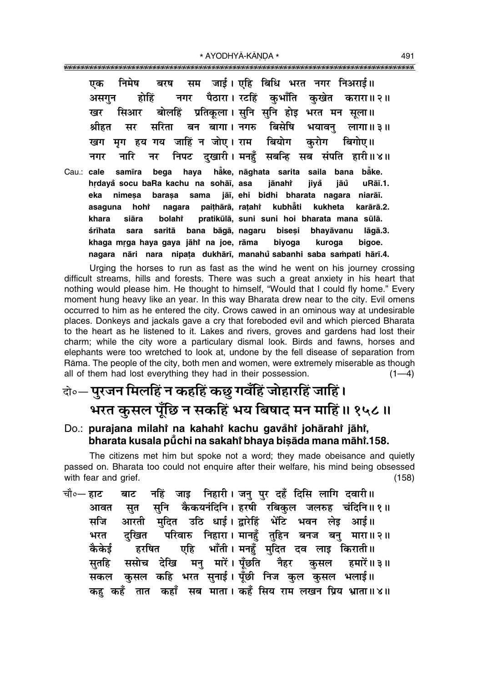\* AYODHYĀ-KĀNDA \* 

निमेष जाई। एहि बिधि भरत नगर निअराई॥ बरष सम एक पैठारा। रटहिं कभाँति कखेत करारा॥२॥ होहिं नगर असगुन प्रतिकला। सनि सनि होड़ भरत मन सला॥ बोलहिं खर सिआर सरिता बन बागा। नगरु बिसेषि भयावन श्रीहत मर लागा ॥ ३॥ मग हय गय जाहिं न जोए। राम बियोग करोग बिगोए ॥ खग निपट दखारी। मनहँ सबन्हि सब संपति हारी॥४॥ नारि नगर नर hằke, nāqhata sarita saila bana bằke. Cau.: cale samīra bega haya hrdayå socu baRa kachu na sohāī, asa iānahř iāů jiyå uRāī.1. eka nimesa barasa sama jāī, ehi bidhi bharata nagara niarāī. hoht nagara paithārā, ratahi kubhåti kukheta karārā.2. asaguna siāra bolaht pratikūlā, suni suni hoi bharata mana sūlā. khara śrīhata sara saritā bana bāgā, nagaru bisesi bhayāvanu lāgā.3. khaga mrga haya gaya jāhi na joe, rāma biyoga kuroga bigoe. nagara nāri nara nipata dukhārī, manahu sabanhi saba sampati hārī.4.

Urging the horses to run as fast as the wind he went on his journey crossing difficult streams, hills and forests. There was such a great anxiety in his heart that nothing would please him. He thought to himself, "Would that I could fly home." Every moment hung heavy like an year. In this way Bharata drew near to the city. Evil omens occurred to him as he entered the city. Crows cawed in an ominous way at undesirable places. Donkeys and jackals gave a cry that foreboded evil and which pierced Bharata to the heart as he listened to it. Lakes and rivers, groves and gardens had lost their charm; while the city wore a particulary dismal look. Birds and fawns, horses and elephants were too wretched to look at, undone by the fell disease of separation from Rāma. The people of the city, both men and women, were extremely miserable as though all of them had lost everything they had in their possession.  $(1-4)$ 

# के०— पुरजन मिलहिं न कहहिं कछु गवँहिं जोहारहिं जाहिं। भरत कुसल पुँछि न सकहिं भय बिषाद मन माहिं॥ १५८॥

#### Do.: purajana milahi na kahahi kachu gavahi johārahi jāhi, bharata kusala pūchi na sakahi bhaya bisāda mana māhi.158.

The citizens met him but spoke not a word; they made obeisance and quietly passed on. Bharata too could not enquire after their welfare, his mind being obsessed with fear and grief.  $(158)$ 

नहिं जाइ निहारी। जनु पुर दहँ दिसि लागि दवारी॥ चौ०— हाट बाट सुनि कैकयनंदिनि । हरषी रबिकुल जलरुह चंदिनि॥१॥ आवत सत सजि आरती मुदित उठि धाई। द्वारेहिं भेंटि भवन लेइ आई।। परिवारु निहारा। मानहुँ तुहिन बनज बनु मारा॥२॥ भरत दखित एहि भाँती। मनहँ मुदित दव लाइ किराती॥ कैकेर्ड हरषित मनु मारें। पूँछति नैहर ससोच देखि कुसल हमारें॥ ३॥ सतहि कुसल कहि भरत सुनाई। पूँछी निज कुल कुसल भलाई॥ सकल कह कहँ तात कहाँ सब माता। कहँ सिय राम लखन प्रिय भ्राता॥४॥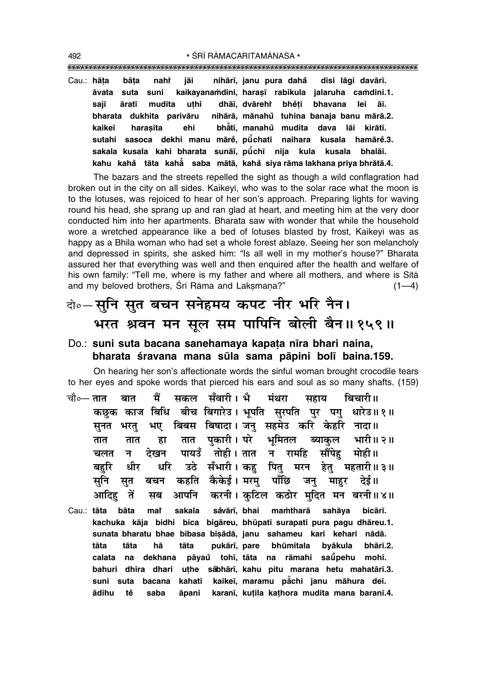""""""""""""""""""""""""""""""""""""""""""""""""""""""""""""""""""""""""""""""""""" 492 **\*** SRĪ RĀMACARITAMĀNASA \*

Cau.: **hå¢a bå¢a nahiÚ jåi nihår∂, janu pura daha° disi lågi davår∂. åvata suta suni kaikayana≈dini, hara¶∂ rabikula jalaruha ca≈dini.1. saji årat∂ mudita u¢hi dhå∂, dvårehiÚ bhe°¢i bhavana lei å∂. bharata dukhita parivåru nihårå, månahu tuhina banaja banu mårå.2. ° kaike∂ hara¶ita ehi bhå° t∂, manahu mudita dava låi kiråt∂. ° sutahi sasoca dekhi manu måre°, pµu° chati naihara kusala hamåre°.3.** sakala kusala kahi bharata sunāī, pū̃chī nija kula kusala bhalāī. **kahu kaha° tåta kahå° saba måtå, kaha° siya råma lakhana priya bhråtå.4.**

The bazars and the streets repelled the sight as though a wild conflagration had broken out in the city on all sides. Kaikey∂, who was to the solar race what the moon is to the lotuses, was rejoiced to hear of her son's approach. Preparing lights for waving round his head, she sprang up and ran glad at heart, and meeting him at the very door conducted him into her apartments. Bharata saw with wonder that while the household wore a wretched appearance like a bed of lotuses blasted by frost, Kaikeyī was as happy as a Bhīla woman who had set a whole forest ablaze. Seeing her son melancholy and depressed in spirits, she asked him: "Is all well in my mother's house?" Bharata assured her that everything was well and then enquired after the health and welfare of his own family: "Tell me, where is my father and where all mothers, and where is Sītā and my beloved brothers,  $\sin$  Rāma and Laksmana?" (1—4)

### दो०–सनि सत बचन सनेहमय कपट नीर भरि नैन। भरत श्रवन मन सूल सम पापिनि बोली बैन॥१५९॥

#### Do.: **suni suta bacana sanehamaya kapa¢a n∂ra bhari naina,** bharata śravana mana sūla sama pāpini bolī baina.159.

On hearing her son's affectionate words the sinful woman brought crocodile tears to her eyes and spoke words that pierced his ears and soul as so many shafts. (159)

- चौ०— **तात बात मैं सकल सँवारी । भै मंथरा सहाय बिचारी ॥** कछुक काज बिधि बीच बिगारेउ। भूपति सुरपति पुर पगु धारेउ॥१॥ सूनत भरतु भए बिबस बिषादा। जनु सहमेउ करि केहरि नादा॥ तात तात हा तात पुकारी**। परे भूमितल ब्याकुल भारी॥२**॥ <u>चलत न देखन पायउँ तोही।तात न रामहि सौंपेह मोही॥</u> ेबहरि धीर धरि उठे सँभारी । कहु पितु मरन हेतु महतारी ॥३॥ सनि सत बचन कहति कैकेई।**मरम पाँछि जन माहर देई**॥ <u>आदिह</u> तें सब आपनि करनी।कुटिल कठोर मुदित मन बरनी॥४॥
- Cau.: **tāta bāta mai sakala sa° vår∂, bhai ma≈tharå sahåya bicår∂. kachuka kåja bidhi b∂ca bigåreu, bhµupati surapati pura pagu dhåreu.1.** sunata bharatu bhae bibasa bişādā, janu sahameu kari kehari nādā. tāta tāta hā tāta pukārī, pare bhūmitala byākula bhārī.2. **calata na dekhana påyau° toh∂, tåta na råmahi saµu° pehu moh∂. bahuri dh∂ra dhari u¢he sa° bhår∂, kahu pitu marana hetu mahatår∂.3. suni suta bacana kahati kaike∂, maramu på° chi janu måhura de∂. ådihu te° saba åpani karan∂, ku¢ila ka¢hora mudita mana baran∂.4.**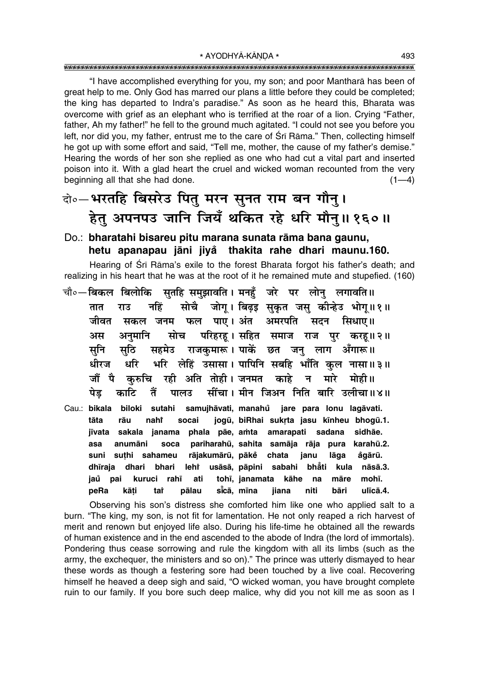"I have accomplished everything for you, my son; and poor Mantharā has been of great help to me. Only God has marred our plans a little before they could be completed; the king has departed to Indra's paradise." As soon as he heard this, Bharata was overcome with grief as an elephant who is terrified at the roar of a lion. Crying "Father, father, Ah my father!" he fell to the ground much agitated. "I could not see you before you left, nor did you, my father, entrust me to the care of Śrī Rāma." Then, collecting himself he got up with some effort and said, "Tell me, mother, the cause of my father's demise." Hearing the words of her son she replied as one who had cut a vital part and inserted poison into it. With a glad heart the cruel and wicked woman recounted from the very beginning all that she had done.  $(1-4)$ 

### दो०–भरतहि बिसरेउ पितु मरन सुनत राम बन गौनु। हेतु अपनपउ जानि जियँ थकित रहे धरि मौनु॥१६०॥

#### Do.: **bharatahi bisareu pitu marana sunata råma bana gaunu, hetu apanapau jåni jiya thakita rahe dhari maunu.160. °**

Hearing of Śrī Rāma's exile to the forest Bharata forgot his father's death; and realizing in his heart that he was at the root of it he remained mute and stupefied. (160)

- <sup>−</sup>चौ०—बिकल बिलोकि सुतहि समुझावति । मनहँ जरे पर लोनु लगावति॥ तात राउ नहिं सोचै जोगू। बिढ़इ सुकृत जसु कीन्हेउ भोगू॥१॥ जीवत सकल जनम फल पाए।**अंत अमरपति सदन सिधाए**॥ अस अनुमानि सोच परिहरह। सहित समाज राज पुर करह॥२॥ सुनि सुठि सहमेउ राजकुमारू।**पाकें छत जनु लाग अँगारू**॥ धीरज धरि भरि लेहिं उसासा। पापिनि सबहि भाँति कल नासा॥३॥ ों पै करुचि रही अति तोही।जनमत काहे न मारे मोही॥ पेड काटि तैं पाल**उ सींचा। मीन जिअन निति बारि उलीचा॥४**॥
- Cau.: **bikala biloki sutahi samujhåvati, manahu jare para lonu lagåvati. °** tāta rāu nah**i** socai jogū, biRhai sukrta jasu kīnheu bhogū.1. **j∂vata sakala janama phala påe, a≈ta amarapati sadana sidhåe. asa anumåni soca pariharahµu, sahita samåja råja pura karahµu.2. suni su¢hi sahameu råjakumårµu, påke chata janu låga a ° °gårµu. dh∂raja dhari bhari lehiÚ usåså, påpini sabahi bhå° ti kula nåså.3. jau pai kuruci rah∂ ati toh∂, janamata kåhe na måre moh∂. ° peRa kå¢i taiÚ pålau s∂cå, m∂na jiana niti båri ul∂cå.4. °**

Observing his son's distress she comforted him like one who applied salt to a burn. "The king, my son, is not fit for lamentation. He not only reaped a rich harvest of merit and renown but enjoyed life also. During his life-time he obtained all the rewards of human existence and in the end ascended to the abode of Indra (the lord of immortals). Pondering thus cease sorrowing and rule the kingdom with all its limbs (such as the army, the exchequer, the ministers and so on)." The prince was utterly dismayed to hear these words as though a festering sore had been touched by a live coal. Recovering himself he heaved a deep sigh and said, "O wicked woman, you have brought complete ruin to our family. If you bore such deep malice, why did you not kill me as soon as I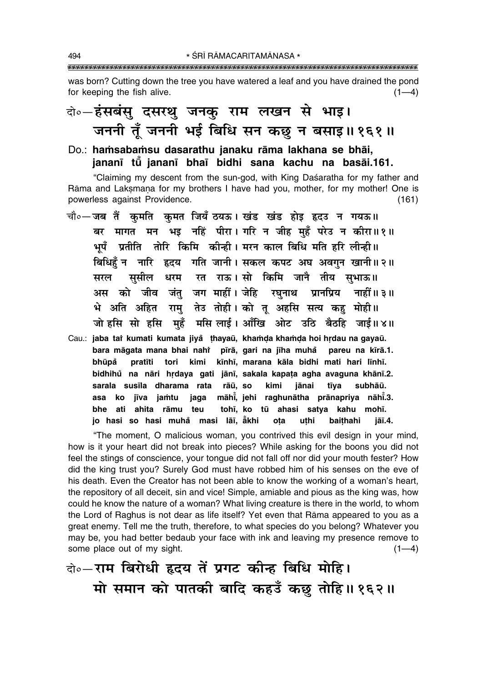was born? Cutting down the tree you have watered a leaf and you have drained the pond for keeping the fish alive.  $(1-4)$ 

### बो०-हंसबंसु दसरथु जनकु राम लखन से भाइ। जननी तूँ जननी भई बिधि सन कछ न बसाइ॥१६१॥

### Do.: hamsabamsu dasarathu janaku rāma lakhana se bhāi. jananī tū jananī bhaī bidhi sana kachu na basāi.161.

"Claiming my descent from the sun-god, with King Daśaratha for my father and Rāma and Laksmana for my brothers I have had you, mother, for my mother! One is powerless against Providence.  $(161)$ 

- चौ∘—जब तैं कमति कमत जियँ ठयऊ। खंड खंड होइ हृदउ न गयऊ॥ बर मागत मन भड़ नहिं पीरा। गरि न जीह महँ परेउ न कीरा॥१॥ भपँ प्रतीति तोरि किमि कीन्ही। मरन काल बिधि मति हरि लीन्ही ।। बिधिहँ न जारि हृदय गति जानी। सकल कपट अघ अवगुन खानी॥२॥ सुसील धरम रत राऊ।सो किमि जानै तीय सुभाऊ॥ सरल अस को जीव जंतु जग माहीं।जेहि रघुनाथ प्रानप्रिय नाहीं ॥ ३ ॥ भे अति अहित रामु तेउ तोही। को तू अहसि सत्य कहु मोही॥ जो हसि सो हसि मुहँ मसि लाई। आँखि ओट उठि बैठहि जाई॥४॥
- Cau.: jaba tai kumati kumata jiya thayaū, khamda khamda hoi hrdau na gayaū. bara māgata mana bhai nahi pīrā, gari na jīha muhå pareu na kīrā.1. bhūpå pratīti tori kimi kīnhī, marana kāla bidhi mati hari līnhī. bidhihů na nāri hrdaya gati jānī, sakala kapata agha avaguna khānī.2. sarala susīla dharama rata rāū, so kimi jānai tīva subhāū. asa ko jīva jamtu māhi, jehi raghunātha prānapriya nāhi.3. jaga bhe ati ahita rāmu teu tohī, ko tū ahasi satya kahu mohī. jo hasi so hasi muhå masi lāī, ākhi baithahi ota uthi jāī.4.

"The moment, O malicious woman, you contrived this evil design in your mind, how is it your heart did not break into pieces? While asking for the boons you did not feel the stings of conscience, your tongue did not fall off nor did your mouth fester? How did the king trust you? Surely God must have robbed him of his senses on the eve of his death. Even the Creator has not been able to know the working of a woman's heart, the repository of all deceit, sin and vice! Simple, amiable and pious as the king was, how could he know the nature of a woman? What living creature is there in the world, to whom the Lord of Raghus is not dear as life itself? Yet even that Rāma appeared to you as a great enemy. Tell me the truth, therefore, to what species do you belong? Whatever you may be, you had better bedaub your face with ink and leaving my presence remove to some place out of my sight.  $(1-4)$ 

वे॰-राम बिरोधी हृदय तें प्रगट कीन्ह बिधि मोहि। मो समान को पातकी बादि कहउँ कछ तोहि॥१६२॥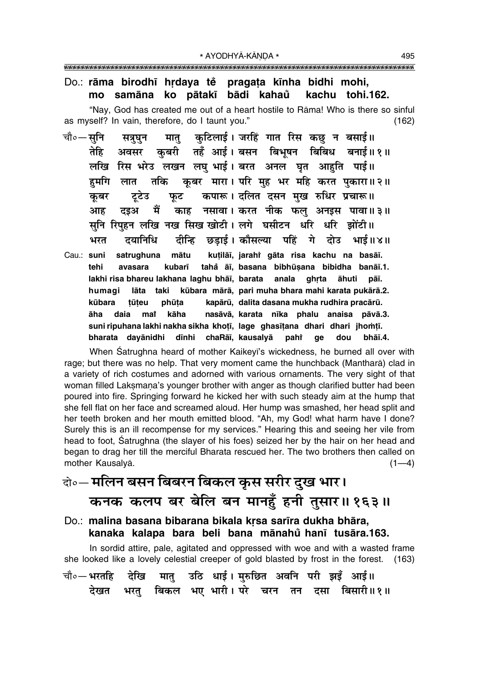#### Do.: rāma birodhī hrdaya te pragata kīnha bidhi mohi, samāna ko pātakī bādi kahaŭ kachu tohi.162. mo

"Nay, God has created me out of a heart hostile to Rāma! Who is there so sinful as myself? In vain, therefore, do I taunt you."  $(162)$ 

- मातु कुटिलाई। जरहिं गात रिस कछु न बसाई॥ चौ०—सनि सत्रघन अवसर कबरी तहँ आई। बसन बिभूषन बिबिध बनाई॥१॥ तेहि लखि रिस भरेउ लखन लघु भाई। बरत अनल घृत आहति पाई।। तकि कुबर मारा। परि मुह भर महि करत पुकारा॥२॥ हमगि लात कपारू। दलित दसन मुख रुधिर प्रचारू॥ कुबर ट्टेउ फुट काह नसावा। करत नीक फलु अनइस पावा॥३॥ मैं आह दडअ सनि रिपहन लखि नख सिख खोटी। लगे घसीटन धरि धरि झोंटी॥ दीन्हि छडाई।कौसल्या पहिं गे दोउ भाई॥४॥ भरत दयानिधि
- Cau.: suni satrughuna mātu kuțilāī, jarahî gāta risa kachu na basāī. kubarī tahā āī, basana bibhūsana bibidha banāī.1. tehi avasara lakhi risa bhareu lakhana laghu bhāī, barata anala ghrta āhuti pāī. kūbara mārā, pari muha bhara mahi karata pukārā.2. humagi lāta taki kūbara tūteu phūta kapārū, dalita dasana mukha rudhira pracārū. daia mat kāha nasāvā, karata nīka phaļu anaisa pāvā.3. āha suni ripuhana lakhi nakha sikha khotī, lage ghasītana dhari dhari jhomtī. bharata dayānidhi dīnhi chaRāī, kausalyā pahi dou bhāī.4. qe

When Satrughna heard of mother Kaikeyi's wickedness, he burned all over with rage; but there was no help. That very moment came the hunchback (Mantharā) clad in a variety of rich costumes and adorned with various ornaments. The very sight of that woman filled Laksmana's younger brother with anger as though clarified butter had been poured into fire. Springing forward he kicked her with such steady aim at the hump that she fell flat on her face and screamed aloud. Her hump was smashed, her head split and her teeth broken and her mouth emitted blood. "Ah, my God! what harm have I done? Surely this is an ill recompense for my services." Hearing this and seeing her vile from head to foot, Satrughna (the slayer of his foes) seized her by the hair on her head and began to drag her till the merciful Bharata rescued her. The two brothers then called on mother Kausalyā.  $(1-4)$ 

# वो॰— मलिन बसन बिबरन बिकल कुस सरीर दुख भार। कनक कलप बर बेलि बन मानहुँ हनी तुसार॥१६३॥

Do.: malina basana bibarana bikala krsa sarīra dukha bhāra, kanaka kalapa bara beli bana mānahů hanī tusāra.163.

In sordid attire, pale, agitated and oppressed with woe and with a wasted frame she looked like a lovely celestial creeper of gold blasted by frost in the forest. (163) मातु उठि धाई। मुरुछित अवनि परी झइँ आई॥ चौ∘— भरतहि देखि बिकल भए भारी। परे चरन तन दसा बिसारी॥१॥ देखत भरत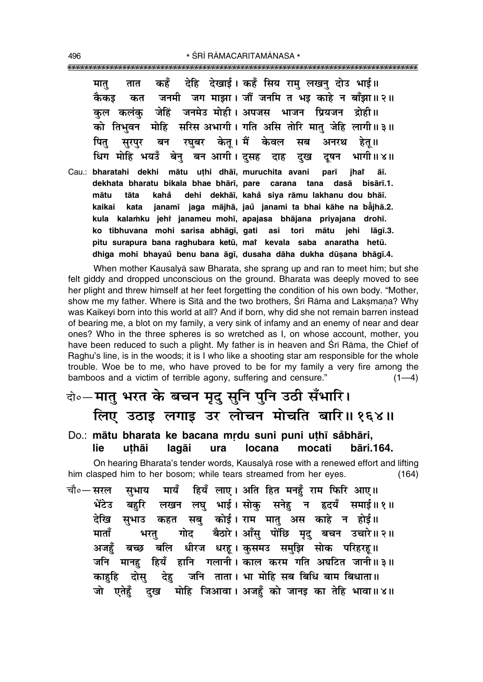देहि देखाई। कहँ सिय रामु लखनु दोउ भाई॥ कहँ मात तात जनमी जग माझा। जौं जनमि त भइ काहे न बाँझा॥२॥ कैकड कत जेहिं जनमेउ मोही। अपजस भाजन प्रियजन द्रोही॥ कल कलंक को तिभवन मोहि सरिस अभागी। गति असि तोरि मात जेहि लागी॥३॥ रघुबर केतू। मैं केवल पित सब अनरथ सरपर बन हेतु ॥ धिग मोहि भयउँ बेनु बन आगी। दुसह भागी ॥ ४ ॥ दाह दुख दुषन Cau.: bharatahi dekhi mātu uthi dhāī, muruchita avani parī ihar āī. dekhata bharatu bikala bhae bhārī, pare carana tana dasā bisārī.1. dehi dekhāī, kahå siya rāmu lakhanu dou bhāī. tāta mātu kahå kaikai kata janamī jaga mājhā, jaŭ janami ta bhai kāhe na bājhā.2. kula kalamku jehi janameu mohī, apajasa bhājana priyajana drohī. ko tibhuvana mohi sarisa abhāgī, gati asi tori mātu jehi lāgī.3. pitu surapura bana raghubara ketū, mai kevala saba anaratha hetū. dhiga mohi bhayaŭ benu bana āgī, dusaha dāha dukha dūsana bhāgī.4.

When mother Kausalya saw Bharata, she sprang up and ran to meet him; but she felt giddy and dropped unconscious on the ground. Bharata was deeply moved to see her plight and threw himself at her feet forgetting the condition of his own body. "Mother, show me my father. Where is Sita and the two brothers, Sri Rama and Laksmana? Why was Kaikeyī born into this world at all? And if born, why did she not remain barren instead of bearing me, a blot on my family, a very sink of infamy and an enemy of near and dear ones? Who in the three spheres is so wretched as I, on whose account, mother, you have been reduced to such a plight. My father is in heaven and Srī Rāma, the Chief of Raghu's line, is in the woods; it is I who like a shooting star am responsible for the whole trouble. Woe be to me, who have proved to be for my family a very fire among the bamboos and a victim of terrible agony, suffering and censure."  $(1-4)$ 

### वे०-मातु भरत के बचन मृद् सूनि पुनि उठी सँभारि। लिए उठाइ लगाइ उर लोचन मोचति बारि॥१६४॥

#### Do.: mātu bharata ke bacana mrdu suni puni uthī såbhāri, **locana lie** uthāi lagāi ura mocati bāri.164.

On hearing Bharata's tender words, Kausalya rose with a renewed effort and lifting him clasped him to her bosom; while tears streamed from her eyes.  $(164)$ 

मायँ हियँ लाए। अति हित मनहँ राम फिरि आए॥ चौ०— सरल सभाय लखन लघु भाई। सोकु सनेहु न हृदयँ समाई॥१॥ भेंटेउ बहरि देखि सुभाउ कहत सबु कोई।राम मातु अस काहे न होई॥ गोद बैठारे। आँसु पोंछि मृदु बचन उचारे॥२॥ माताँ भरत् अजहँ बच्छ बलि धीरज धरह।कुसमउ समुझि सोक परिहरह॥ जनि मानह हियँ हानि गलानी । काल करम गति अघटित जानी ॥ ३ ॥ देह जनि ताता। भा मोहि सब बिधि बाम बिधाता॥ दोस काहहि दुख मोहि जिआवा। अजहँ को जानइ का तेहि भावा॥४॥ जो एतेहँ

496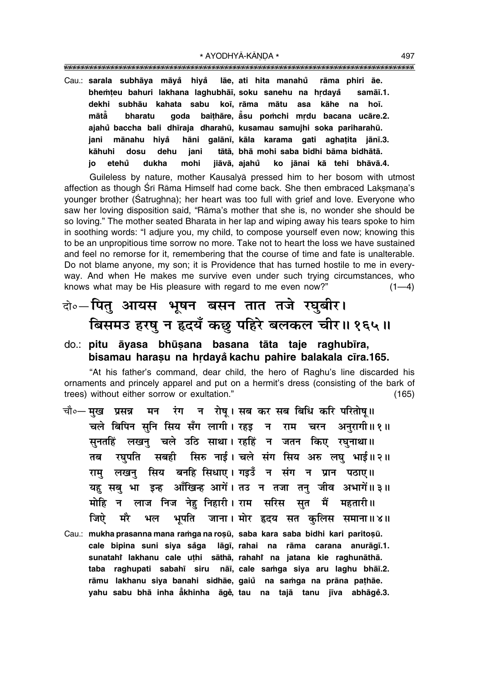\* AYODHYÅ-KŰNœA \* 497

"""""""""""""""""""""""""""""""""""""""""""""""""""""""""""""""""""""""""""""""""""

Cau.: **sarala subhåya måya° hiya° låe, ati hita manahu råma phiri åe. ° bhemteu bahuri lakhana laghubhāī, soku sanehu na hrdayå samāī.1. dekhi subhåu kahata sabu ko∂, råma måtu asa kåhe na ho∂. måtå° bharatu goda bai¢håre, å° su po≈chi mædu bacana ucåre.2. ajahu baccha bali dh∂raja ° dharahµu, kusamau samujhi soka pariharahµu. jani månahu hiya° håni galån∂, kåla karama gati agha¢ita jån∂.3. kåhuhi dosu dehu jani tåtå, bhå mohi saba bidhi båma bidhåtå. jo etehu dukha mohi jiåvå, ajahu ° ko jånai kå tehi bhåvå.4. °**

Guileless by nature, mother Kausalyå pressed him to her bosom with utmost affection as though Śrī Rāma Himself had come back. She then embraced Laksmana's younger brother (Satrughna); her heart was too full with grief and love. Everyone who saw her loving disposition said, "Rāma's mother that she is, no wonder she should be so loving." The mother seated Bharata in her lap and wiping away his tears spoke to him in soothing words: "I adjure you, my child, to compose yourself even now; knowing this to be an unpropitious time sorrow no more. Take not to heart the loss we have sustained and feel no remorse for it, remembering that the course of time and fate is unalterable. Do not blame anyone, my son; it is Providence that has turned hostile to me in everyway. And when He makes me survive even under such trying circumstances, who knows what may be His pleasure with regard to me even now?"  $(1-4)$ 

### दो**०–पितु आयस भूषन बसन तात तजे रघुबीर।** बिसमउ हरषु न हृदयँ कछ पहिरे बलकल चीर॥१६५॥

#### do.: **pitu āyasa bhūsana basana tāta taje raghubīra,** bisamau harasu na hrdayå kachu pahire balakala cīra.165.

"At his father's command, dear child, the hero of Raghu's line discarded his ornaments and princely apparel and put on a hermit's dress (consisting of the bark of trees) without either sorrow or exultation." (165)

- चौ०— **मख प्रसन्न मन रंग न रोष। सब कर सब बिधि करि परितोष॥** <u>चले बिपिन सनि सिय सँग लागी। रहड़ न राम चरन अनुरागी॥१॥</u> सुनतहिं लखन् चले उठि साथा।**रहहिं न जतन किए रघुनाथा**॥ तब रघुपति सबही सिरु नाई।**चले संग सिय अरु लघु भाई॥२॥** राम् लखनु सिय बनहि सिधाए। गइउँ न संग न प्रान पठाए॥ यह सबु भा इन्ह आँखिन्ह आगें। तउ न तजा तनु जीव अभागें॥३॥ <u>मोहि न लाज निज नेह निहारी। राम सरिस सत मैं महतारी॥</u> जिऐ मरै भल भूपति जाना। मोर हृदय सत कुलिस समाना॥४॥
- Cau.: mukha prasanna mana ramga na roșū, saba kara saba bidhi kari paritoșū. **cale bipina suni siya sa°ga låg∂, rahai na råma carana anuråg∂.1. sunatahiÚ lakhanu cale u¢hi såthå, rahahiÚ na jatana kie raghunåthå. taba raghupati sabah∂ siru nå∂, cale sa≈ga siya aru laghu bhå∂.2. råmu lakhanu siya banahi sidhåe, gaiu na sa≈ga na pråna pa¢håe. ° yahu sabu bhå inha å° khinha åge°, tau na tajå tanu j∂va abhåge°.3.**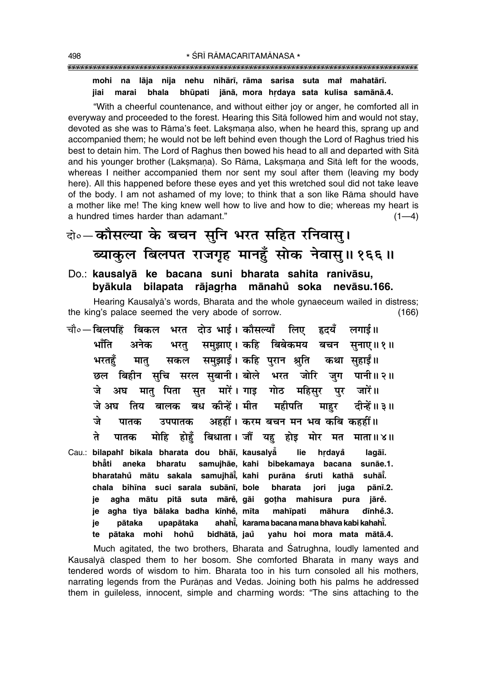#### mohi na lāja nija nehu nihārī, rāma sarisa suta mai mahatārī. bhala bhūpati jānā, mora hrdaya sata kulisa samānā.4. marai jiai

"With a cheerful countenance, and without either joy or anger, he comforted all in everyway and proceeded to the forest. Hearing this Sita followed him and would not stay, devoted as she was to Rāma's feet. Laksmana also, when he heard this, sprang up and accompanied them; he would not be left behind even though the Lord of Raghus tried his best to detain him. The Lord of Raghus then bowed his head to all and departed with Sita and his younger brother (Laksmana). So Rāma, Laksmana and Sītā left for the woods, whereas I neither accompanied them nor sent my soul after them (leaving my body here). All this happened before these eyes and yet this wretched soul did not take leave of the body. I am not ashamed of my love; to think that a son like Rāma should have a mother like me! The king knew well how to live and how to die; whereas my heart is a hundred times harder than adamant."  $(1-4)$ 

वे०-कौसल्या के बचन सुनि भरत सहित रनिवास्। ब्याकुल बिलपत राजगृह मानहुँ सोक नेवासु॥१६६॥

### Do.: kausalyā ke bacana suni bharata sahita ranivāsu, byākula bilapata rājagrha mānahů soka nevāsu.166.

Hearing Kausalya's words, Bharata and the whole gynaeceum wailed in distress; the king's palace seemed the very abode of sorrow.  $(166)$ 

- चौ∘—बिलपहिं बिकल भरत दोउ भाई। कौसल्याँ लिए हृदयँ लगाई॥ भाँति भरत् समुझाए। कहि बिबेकमय बचन सुनाए॥१॥ अनेक सकल समुझाईं। कहि पुरान श्रुति कथा सुहाईं॥ भरतहँ मात् छल बिहीन सचि सरल सुबानी। बोले भरत जोरि जुग पानी॥२॥ अघ मात पिता सत मारें। गाड़ गोठ महिसर पर जारें॥ जे जे अघकतिय बालक बध कीन्हें। मीत महीपति दीन्हें॥ ३॥ माहर अहहीं। करम बचन मन भव कबि कहहीं॥ जे पातक उपपातक ते मोहि होहँ बिधाता। जौं यह होइ मोर मत पातक माता॥४॥
- Cau.: bilapahî bikala bharata dou bhāi, kausalya lie hrdavå lagāī. bhẵti aneka bharatu samujhāe, kahi bibekamaya bacana sunāe.1. bharatahů mātu sakala samujhāi, kahi purāna śruti kathā suhāi. chala bihīna suci sarala subānī, bole bharata juga pānī.2. jori agha mātu pitā suta māre, gāi gotha mahisura pura jārė. ie agha tiya bālaka badha kīnhe, mīta mahīpati dīnhe.3. je māhura pātaka upapātaka ahahi. karama bacana mana bhaya kabi kahahi. ie pātaka mohi hohů bidhātā, jaŭ yahu hoi mora mata mātā.4. te

Much agitated, the two brothers, Bharata and Satrughna, loudly lamented and Kausalyā clasped them to her bosom. She comforted Bharata in many ways and tendered words of wisdom to him. Bharata too in his turn consoled all his mothers, narrating legends from the Puranas and Vedas. Joining both his palms he addressed them in quileless, innocent, simple and charming words: "The sins attaching to the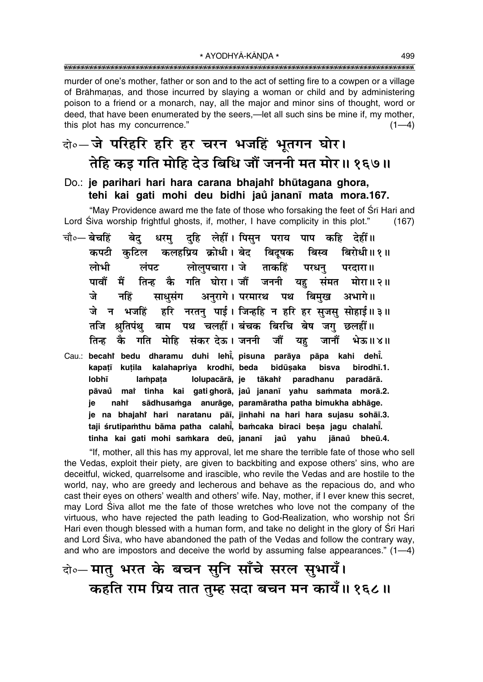\* AYODHYĀ-KĀNDA \* 

murder of one's mother, father or son and to the act of setting fire to a cowpen or a village of Brāhmanas, and those incurred by slaying a woman or child and by administering poison to a friend or a monarch, nay, all the major and minor sins of thought, word or deed, that have been enumerated by the seers,—let all such sins be mine if, my mother, this plot has my concurrence."  $(1-4)$ 

### वे∘-जे परिहरि हरि हर चरन भजहिं भुतगन घोर। तेहि कड गति मोहि देउ बिधि जौं जननी मत मोर॥ १६७॥

### Do.: je parihari hari hara carana bhajahi bhūtagana ghora, tehi kai gati mohi deu bidhi jaŭ jananī mata mora.167.

"May Providence award me the fate of those who forsaking the feet of Srī Hari and Lord Siva worship frightful ghosts, if, mother, I have complicity in this plot."  $(167)$ 

- चौ०— बेचहिं बेद दहि लेहीं। पिसून पराय पाप कहि देहीं॥ धरम कपटी कुटिल कलहप्रिय क्रोधी। बेद बिदुषक बिस्व बिरोधी॥१॥ लोलपचारा। जे ताकहिं लोभी लंपट परधन परदारा॥ पावों में तिन्ह कै गति घोरा।जौँ जननी यह संमत मोरा॥२॥ अनरागे। परमारथ पथ बिमख त्ते साधसंग नहिं अभागे।। हरि नरतन पाई। जिन्हहि न हरि हर सजस सोहाई॥३॥ जे न भजहिं तजि श्रतिपंथ बाम पथ चलहीं। बंचक बिरचि बेष जग छलहीं॥ तिन्ह कै गति मोहि संकर देऊ। जननी जौं यह जानौं भेऊ॥४॥
- Cau.: becahî bedu dharamu duhi lehi, pisuna parāya pāpa kahi dehi. kapatī kutila kalahapriya krodhī, beda bidūsaka bisva birodhī.1. lobhī lampata Iolupacārā, je tākahr paradhanu paradārā. pāvaŭ mai tinha kai gatighorā, jaŭ jananī yahu sammata morā.2. sādhusamga anurāge, paramāratha patha bimukha abhāge. ie nahi je na bhajahi hari naratanu pāī, jinhahi na hari hara sujasu sohāī.3. taji śrutipamthu bāma patha calahi, bamcaka biraci besa jagu chalahi. tinha kai gati mohi samkara deū, jananī jaů yahu jānaů bheū.4.

"If, mother, all this has my approval, let me share the terrible fate of those who sell the Vedas, exploit their piety, are given to backbiting and expose others' sins, who are deceitful, wicked, quarrelsome and irascible, who revile the Vedas and are hostile to the world, nay, who are greedy and lecherous and behave as the repacious do, and who cast their eyes on others' wealth and others' wife. Nay, mother, if I ever knew this secret, may Lord Siva allot me the fate of those wretches who love not the company of the virtuous, who have rejected the path leading to God-Realization, who worship not Sri Hari even though blessed with a human form, and take no delight in the glory of Srī Hari and Lord Śiva, who have abandoned the path of the Vedas and follow the contrary way, and who are impostors and deceive the world by assuming false appearances."  $(1-4)$ 

वो०- मातु भरत के बचन सुनि साँचे सरल सुभायँ। कहति राम प्रिय तात तुम्ह सदा बचन मन कायँ॥ १६८॥